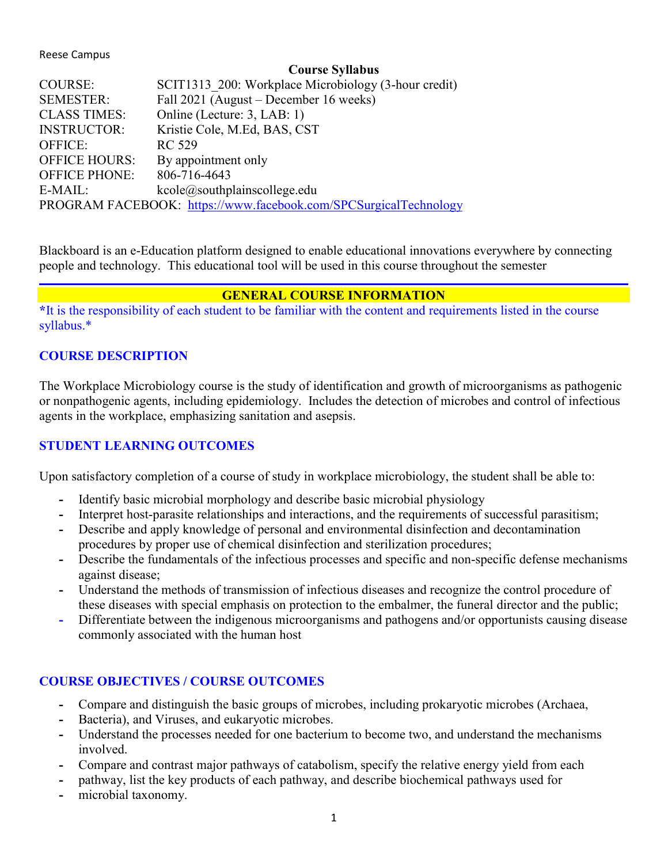#### Reese Campus

#### **Course Syllabus**

| <b>COURSE:</b>                                                   | SCIT1313 200: Workplace Microbiology (3-hour credit) |  |  |
|------------------------------------------------------------------|------------------------------------------------------|--|--|
| <b>SEMESTER:</b>                                                 | Fall 2021 (August – December 16 weeks)               |  |  |
| <b>CLASS TIMES:</b>                                              | Online (Lecture: 3, LAB: 1)                          |  |  |
| <b>INSTRUCTOR:</b>                                               | Kristie Cole, M.Ed, BAS, CST                         |  |  |
| <b>OFFICE:</b>                                                   | RC 529                                               |  |  |
| <b>OFFICE HOURS:</b>                                             | By appointment only                                  |  |  |
| <b>OFFICE PHONE:</b>                                             | 806-716-4643                                         |  |  |
| E-MAIL:                                                          | kcole@southplain scollege.edu                        |  |  |
| PROGRAM FACEBOOK: https://www.facebook.com/SPCSurgicalTechnology |                                                      |  |  |
|                                                                  |                                                      |  |  |

Blackboard is an e-Education platform designed to enable educational innovations everywhere by connecting people and technology. This educational tool will be used in this course throughout the semester

#### **GENERAL COURSE INFORMATION**

**\***It is the responsibility of each student to be familiar with the content and requirements listed in the course syllabus.\*

#### **COURSE DESCRIPTION**

The Workplace Microbiology course is the study of identification and growth of microorganisms as pathogenic or nonpathogenic agents, including epidemiology. Includes the detection of microbes and control of infectious agents in the workplace, emphasizing sanitation and asepsis.

### **STUDENT LEARNING OUTCOMES**

Upon satisfactory completion of a course of study in workplace microbiology, the student shall be able to:

- **-** Identify basic microbial morphology and describe basic microbial physiology
- **-** Interpret host-parasite relationships and interactions, and the requirements of successful parasitism;
- **-** Describe and apply knowledge of personal and environmental disinfection and decontamination procedures by proper use of chemical disinfection and sterilization procedures;
- **-** Describe the fundamentals of the infectious processes and specific and non-specific defense mechanisms against disease;
- **-** Understand the methods of transmission of infectious diseases and recognize the control procedure of these diseases with special emphasis on protection to the embalmer, the funeral director and the public;
- **-** Differentiate between the indigenous microorganisms and pathogens and/or opportunists causing disease commonly associated with the human host

### **COURSE OBJECTIVES / COURSE OUTCOMES**

- **-** Compare and distinguish the basic groups of microbes, including prokaryotic microbes (Archaea,
- **-** Bacteria), and Viruses, and eukaryotic microbes.
- **-** Understand the processes needed for one bacterium to become two, and understand the mechanisms involved.
- **-** Compare and contrast major pathways of catabolism, specify the relative energy yield from each
- **-** pathway, list the key products of each pathway, and describe biochemical pathways used for
- **-** microbial taxonomy.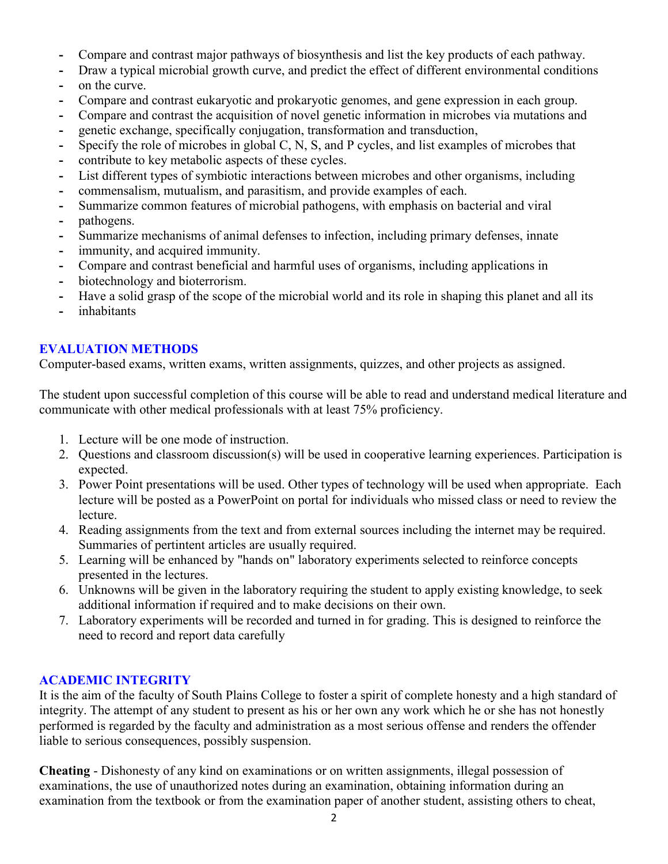- **-** Compare and contrast major pathways of biosynthesis and list the key products of each pathway.
- **-** Draw a typical microbial growth curve, and predict the effect of different environmental conditions
- **-** on the curve.
- **-** Compare and contrast eukaryotic and prokaryotic genomes, and gene expression in each group.
- **-** Compare and contrast the acquisition of novel genetic information in microbes via mutations and
- **-** genetic exchange, specifically conjugation, transformation and transduction,
- **-** Specify the role of microbes in global C, N, S, and P cycles, and list examples of microbes that
- **-** contribute to key metabolic aspects of these cycles.
- **-** List different types of symbiotic interactions between microbes and other organisms, including
- **-** commensalism, mutualism, and parasitism, and provide examples of each.
- **-** Summarize common features of microbial pathogens, with emphasis on bacterial and viral
- **-** pathogens.
- **-** Summarize mechanisms of animal defenses to infection, including primary defenses, innate
- **-** immunity, and acquired immunity.
- **-** Compare and contrast beneficial and harmful uses of organisms, including applications in
- **-** biotechnology and bioterrorism.
- **-** Have a solid grasp of the scope of the microbial world and its role in shaping this planet and all its
- **-** inhabitants

## **EVALUATION METHODS**

Computer-based exams, written exams, written assignments, quizzes, and other projects as assigned.

The student upon successful completion of this course will be able to read and understand medical literature and communicate with other medical professionals with at least 75% proficiency.

- 1. Lecture will be one mode of instruction.
- 2. Questions and classroom discussion(s) will be used in cooperative learning experiences. Participation is expected.
- 3. Power Point presentations will be used. Other types of technology will be used when appropriate. Each lecture will be posted as a PowerPoint on portal for individuals who missed class or need to review the lecture.
- 4. Reading assignments from the text and from external sources including the internet may be required. Summaries of pertintent articles are usually required.
- 5. Learning will be enhanced by "hands on" laboratory experiments selected to reinforce concepts presented in the lectures.
- 6. Unknowns will be given in the laboratory requiring the student to apply existing knowledge, to seek additional information if required and to make decisions on their own.
- 7. Laboratory experiments will be recorded and turned in for grading. This is designed to reinforce the need to record and report data carefully

## **ACADEMIC INTEGRITY**

It is the aim of the faculty of South Plains College to foster a spirit of complete honesty and a high standard of integrity. The attempt of any student to present as his or her own any work which he or she has not honestly performed is regarded by the faculty and administration as a most serious offense and renders the offender liable to serious consequences, possibly suspension.

**Cheating** - Dishonesty of any kind on examinations or on written assignments, illegal possession of examinations, the use of unauthorized notes during an examination, obtaining information during an examination from the textbook or from the examination paper of another student, assisting others to cheat,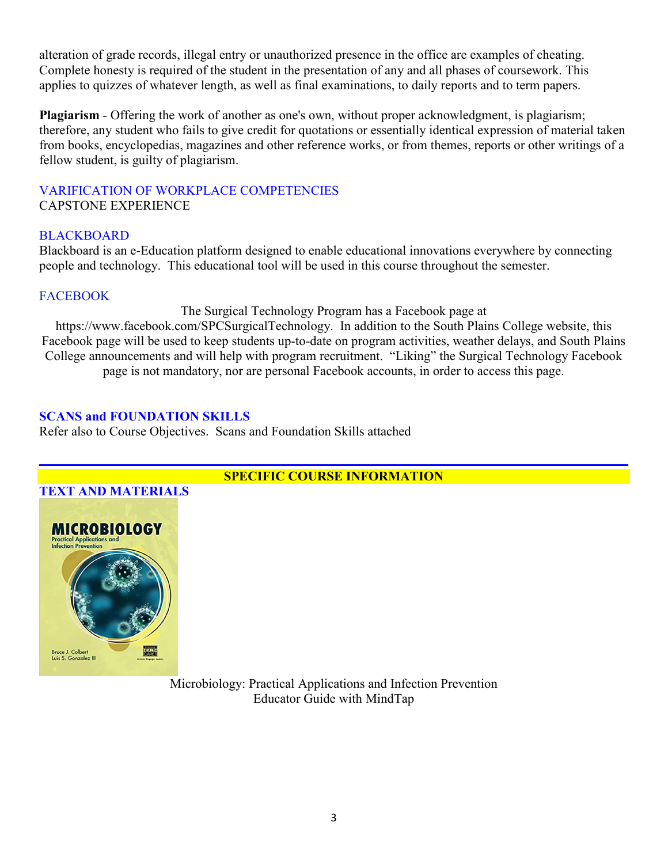alteration of grade records, illegal entry or unauthorized presence in the office are examples of cheating. Complete honesty is required of the student in the presentation of any and all phases of coursework. This applies to quizzes of whatever length, as well as final examinations, to daily reports and to term papers.

**Plagiarism** - Offering the work of another as one's own, without proper acknowledgment, is plagiarism; therefore, any student who fails to give credit for quotations or essentially identical expression of material taken from books, encyclopedias, magazines and other reference works, or from themes, reports or other writings of a fellow student, is guilty of plagiarism.

### VARIFICATION OF WORKPLACE COMPETENCIES CAPSTONE EXPERIENCE

### **BLACKBOARD**

Blackboard is an e-Education platform designed to enable educational innovations everywhere by connecting people and technology. This educational tool will be used in this course throughout the semester.

## **FACEBOOK**

The Surgical Technology Program has a Facebook page at

https://www.facebook.com/SPCSurgicalTechnology. In addition to the South Plains College website, this Facebook page will be used to keep students up-to-date on program activities, weather delays, and South Plains College announcements and will help with program recruitment. "Liking" the Surgical Technology Facebook page is not mandatory, nor are personal Facebook accounts, in order to access this page.

### **SCANS and FOUNDATION SKILLS**

Refer also to Course Objectives. Scans and Foundation Skills attached



## **SPECIFIC COURSE INFORMATION**

Microbiology: Practical Applications and Infection Prevention Educator Guide with MindTap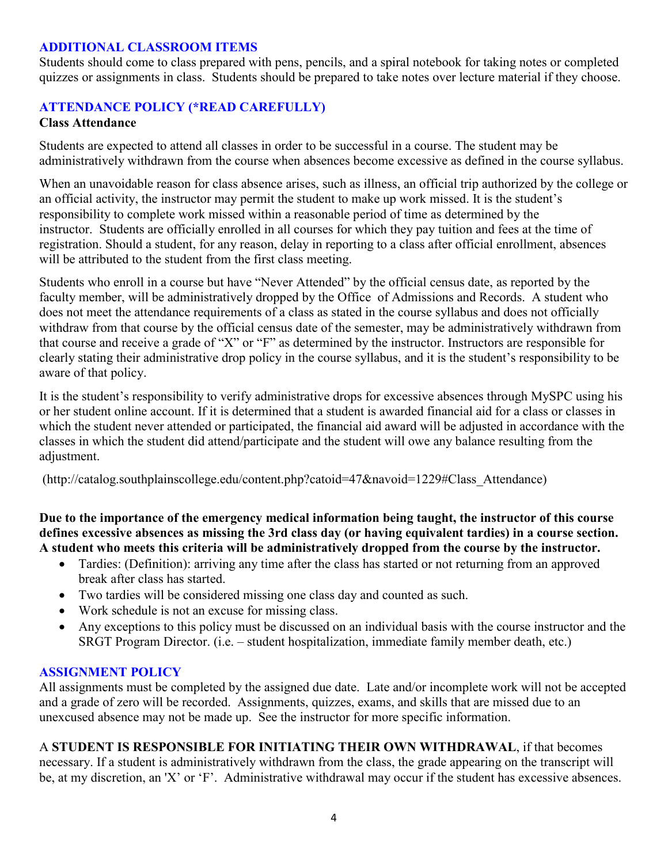### **ADDITIONAL CLASSROOM ITEMS**

Students should come to class prepared with pens, pencils, and a spiral notebook for taking notes or completed quizzes or assignments in class. Students should be prepared to take notes over lecture material if they choose.

## **ATTENDANCE POLICY (\*READ CAREFULLY)**

#### **Class Attendance**

Students are expected to attend all classes in order to be successful in a course. The student may be administratively withdrawn from the course when absences become excessive as defined in the course syllabus.

When an unavoidable reason for class absence arises, such as illness, an official trip authorized by the college or an official activity, the instructor may permit the student to make up work missed. It is the student's responsibility to complete work missed within a reasonable period of time as determined by the instructor. Students are officially enrolled in all courses for which they pay tuition and fees at the time of registration. Should a student, for any reason, delay in reporting to a class after official enrollment, absences will be attributed to the student from the first class meeting.

Students who enroll in a course but have "Never Attended" by the official census date, as reported by the faculty member, will be administratively dropped by the Office of Admissions and Records. A student who does not meet the attendance requirements of a class as stated in the course syllabus and does not officially withdraw from that course by the official census date of the semester, may be administratively withdrawn from that course and receive a grade of "X" or "F" as determined by the instructor. Instructors are responsible for clearly stating their administrative drop policy in the course syllabus, and it is the student's responsibility to be aware of that policy.

It is the student's responsibility to verify administrative drops for excessive absences through MySPC using his or her student online account. If it is determined that a student is awarded financial aid for a class or classes in which the student never attended or participated, the financial aid award will be adjusted in accordance with the classes in which the student did attend/participate and the student will owe any balance resulting from the adjustment.

(http://catalog.southplainscollege.edu/content.php?catoid=47&navoid=1229#Class\_Attendance)

**Due to the importance of the emergency medical information being taught, the instructor of this course defines excessive absences as missing the 3rd class day (or having equivalent tardies) in a course section. A student who meets this criteria will be administratively dropped from the course by the instructor.** 

- Tardies: (Definition): arriving any time after the class has started or not returning from an approved break after class has started.
- Two tardies will be considered missing one class day and counted as such.
- Work schedule is not an excuse for missing class.
- Any exceptions to this policy must be discussed on an individual basis with the course instructor and the SRGT Program Director. (i.e. – student hospitalization, immediate family member death, etc.)

### **ASSIGNMENT POLICY**

All assignments must be completed by the assigned due date. Late and/or incomplete work will not be accepted and a grade of zero will be recorded. Assignments, quizzes, exams, and skills that are missed due to an unexcused absence may not be made up. See the instructor for more specific information.

A **STUDENT IS RESPONSIBLE FOR INITIATING THEIR OWN WITHDRAWAL**, if that becomes necessary. If a student is administratively withdrawn from the class, the grade appearing on the transcript will be, at my discretion, an 'X' or 'F'. Administrative withdrawal may occur if the student has excessive absences.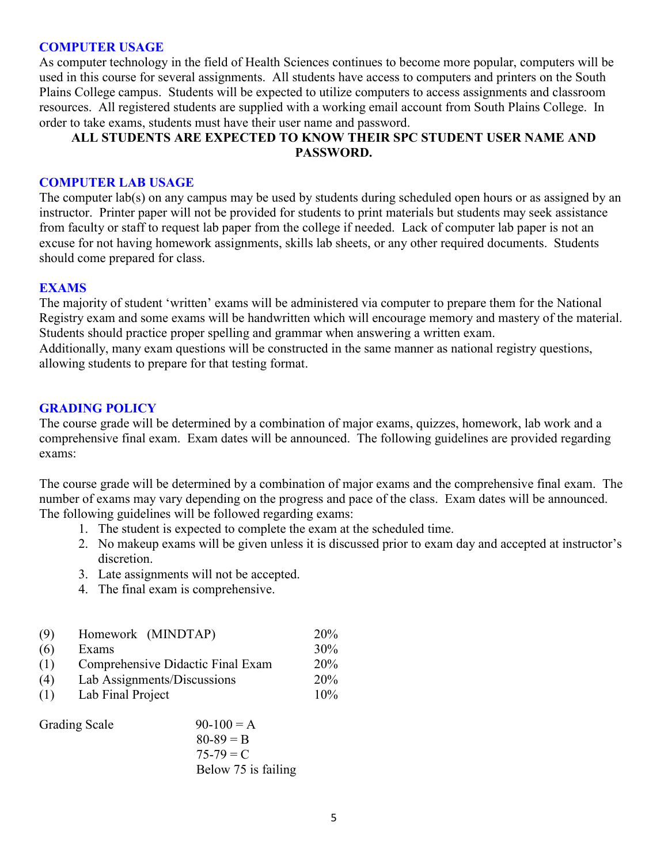#### **COMPUTER USAGE**

As computer technology in the field of Health Sciences continues to become more popular, computers will be used in this course for several assignments. All students have access to computers and printers on the South Plains College campus. Students will be expected to utilize computers to access assignments and classroom resources. All registered students are supplied with a working email account from South Plains College. In order to take exams, students must have their user name and password.

### **ALL STUDENTS ARE EXPECTED TO KNOW THEIR SPC STUDENT USER NAME AND PASSWORD.**

#### **COMPUTER LAB USAGE**

The computer lab(s) on any campus may be used by students during scheduled open hours or as assigned by an instructor. Printer paper will not be provided for students to print materials but students may seek assistance from faculty or staff to request lab paper from the college if needed. Lack of computer lab paper is not an excuse for not having homework assignments, skills lab sheets, or any other required documents. Students should come prepared for class.

#### **EXAMS**

The majority of student 'written' exams will be administered via computer to prepare them for the National Registry exam and some exams will be handwritten which will encourage memory and mastery of the material. Students should practice proper spelling and grammar when answering a written exam. Additionally, many exam questions will be constructed in the same manner as national registry questions, allowing students to prepare for that testing format.

### **GRADING POLICY**

The course grade will be determined by a combination of major exams, quizzes, homework, lab work and a comprehensive final exam. Exam dates will be announced. The following guidelines are provided regarding exams:

The course grade will be determined by a combination of major exams and the comprehensive final exam. The number of exams may vary depending on the progress and pace of the class. Exam dates will be announced. The following guidelines will be followed regarding exams:

- 1. The student is expected to complete the exam at the scheduled time.
- 2. No makeup exams will be given unless it is discussed prior to exam day and accepted at instructor's discretion.
- 3. Late assignments will not be accepted.
- 4. The final exam is comprehensive.

| (9) | Homework (MINDTAP)                | <b>20%</b>      |
|-----|-----------------------------------|-----------------|
| (6) | Exams                             | 30%             |
| (1) | Comprehensive Didactic Final Exam | 20%             |
| (4) | Lab Assignments/Discussions       | 20 <sub>%</sub> |
| (1) | Lab Final Project                 | 10%             |
|     |                                   |                 |

| <b>Grading Scale</b> | $90-100 = A$        |
|----------------------|---------------------|
|                      | $80 - 89 = B$       |
|                      | $75 - 79 = C$       |
|                      | Below 75 is failing |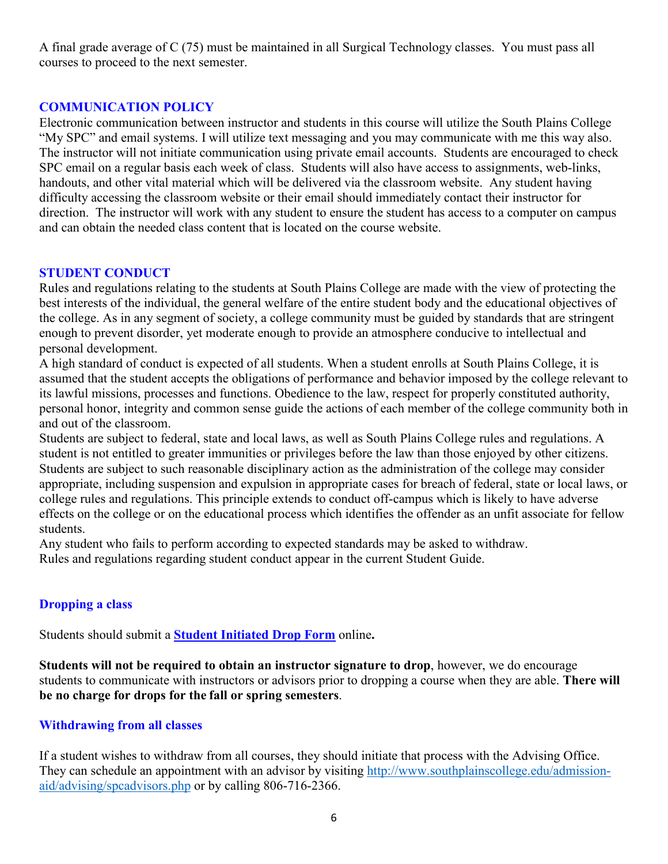A final grade average of C (75) must be maintained in all Surgical Technology classes. You must pass all courses to proceed to the next semester.

### **COMMUNICATION POLICY**

Electronic communication between instructor and students in this course will utilize the South Plains College "My SPC" and email systems. I will utilize text messaging and you may communicate with me this way also. The instructor will not initiate communication using private email accounts. Students are encouraged to check SPC email on a regular basis each week of class. Students will also have access to assignments, web-links, handouts, and other vital material which will be delivered via the classroom website. Any student having difficulty accessing the classroom website or their email should immediately contact their instructor for direction. The instructor will work with any student to ensure the student has access to a computer on campus and can obtain the needed class content that is located on the course website.

### **STUDENT CONDUCT**

Rules and regulations relating to the students at South Plains College are made with the view of protecting the best interests of the individual, the general welfare of the entire student body and the educational objectives of the college. As in any segment of society, a college community must be guided by standards that are stringent enough to prevent disorder, yet moderate enough to provide an atmosphere conducive to intellectual and personal development.

A high standard of conduct is expected of all students. When a student enrolls at South Plains College, it is assumed that the student accepts the obligations of performance and behavior imposed by the college relevant to its lawful missions, processes and functions. Obedience to the law, respect for properly constituted authority, personal honor, integrity and common sense guide the actions of each member of the college community both in and out of the classroom.

Students are subject to federal, state and local laws, as well as South Plains College rules and regulations. A student is not entitled to greater immunities or privileges before the law than those enjoyed by other citizens. Students are subject to such reasonable disciplinary action as the administration of the college may consider appropriate, including suspension and expulsion in appropriate cases for breach of federal, state or local laws, or college rules and regulations. This principle extends to conduct off-campus which is likely to have adverse effects on the college or on the educational process which identifies the offender as an unfit associate for fellow students.

Any student who fails to perform according to expected standards may be asked to withdraw. Rules and regulations regarding student conduct appear in the current Student Guide.

### **Dropping a class**

Students should submit a **Student [Initiated](https://forms.office.com/Pages/ResponsePage.aspx?id=ZrGRbWrP6UWeIqAmJdCCqRkmPIpp6AVCixFJfcqITt9UODExTUFXS0JOODhJOTlYM0NEV1kzRk9GMS4u) Drop Form** online**.**

**Students will not be required to obtain an instructor signature to drop**, however, we do encourage students to communicate with instructors or advisors prior to dropping a course when they are able. **There will be no charge for drops for the fall or spring semesters**.

### **Withdrawing from all classes**

If a student wishes to withdraw from all courses, they should initiate that process with the Advising Office. They can schedule an appointment with an advisor by visiting [http://www.southplainscollege.edu/admission](http://www.southplainscollege.edu/admission-aid/advising/spcadvisors.php)[aid/advising/spcadvisors.php](http://www.southplainscollege.edu/admission-aid/advising/spcadvisors.php) or by calling 806-716-2366.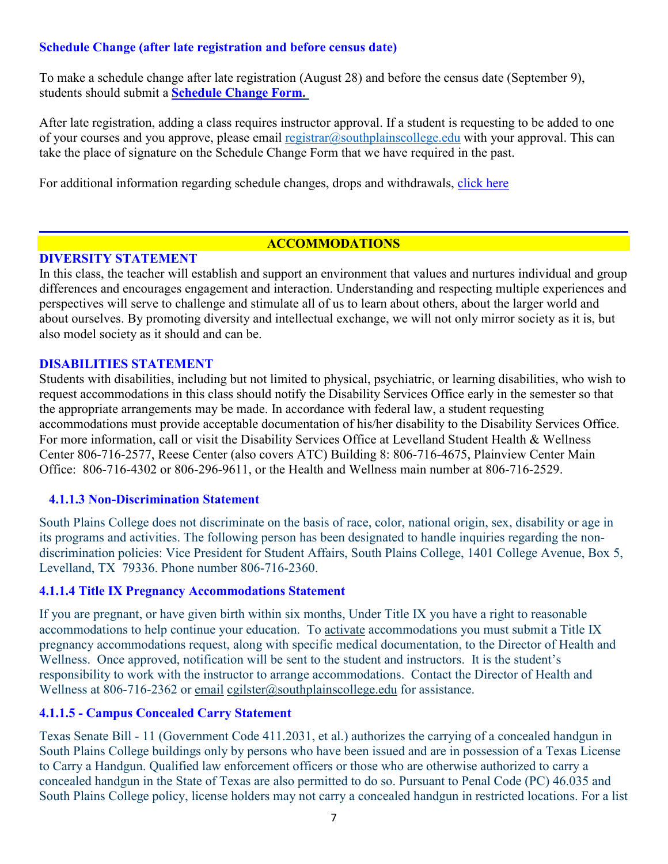## **Schedule Change (after late registration and before census date)**

To make a schedule change after late registration (August 28) and before the census date (September 9), students should submit a **[Schedule](https://forms.office.com/Pages/ResponsePage.aspx?id=ZrGRbWrP6UWeIqAmJdCCqRkmPIpp6AVCixFJfcqITt9UODIyTkRZSkFHVDNSVFRFV0g0T0tVWVAwRi4u) Change Form.**

After late registration, adding a class requires instructor approval. If a student is requesting to be added to one of your courses and you approve, please email [registrar@southplainscollege.edu](mailto:registrar@southplainscollege.edu) with your approval. This can take the place of signature on the Schedule Change Form that we have required in the past.

For additional information regarding schedule changes, drops and withdrawals, [click](http://www.southplainscollege.edu/admission-aid/apply/schedulechanges.php) here

### **ACCOMMODATIONS**

#### **DIVERSITY STATEMENT**

In this class, the teacher will establish and support an environment that values and nurtures individual and group differences and encourages engagement and interaction. Understanding and respecting multiple experiences and perspectives will serve to challenge and stimulate all of us to learn about others, about the larger world and about ourselves. By promoting diversity and intellectual exchange, we will not only mirror society as it is, but also model society as it should and can be.

#### **DISABILITIES STATEMENT**

Students with disabilities, including but not limited to physical, psychiatric, or learning disabilities, who wish to request accommodations in this class should notify the Disability Services Office early in the semester so that the appropriate arrangements may be made. In accordance with federal law, a student requesting accommodations must provide acceptable documentation of his/her disability to the Disability Services Office. For more information, call or visit the Disability Services Office at Levelland Student Health & Wellness Center 806-716-2577, Reese Center (also covers ATC) Building 8: 806-716-4675, Plainview Center Main Office: 806-716-4302 or 806-296-9611, or the Health and Wellness main number at 806-716-2529.

#### **4.1.1.3 Non-Discrimination Statement**

South Plains College does not discriminate on the basis of race, color, national origin, sex, disability or age in its programs and activities. The following person has been designated to handle inquiries regarding the nondiscrimination policies: Vice President for Student Affairs, South Plains College, 1401 College Avenue, Box 5, Levelland, TX 79336. Phone number 806-716-2360.

#### **4.1.1.4 Title IX Pregnancy Accommodations Statement**

If you are pregnant, or have given birth within six months, Under Title IX you have a right to reasonable accommodations to help continue your education. To [activate](http://www.southplainscollege.edu/employees/manualshandbooks/facultyhandbook/sec4.php) accommodations you must submit a Title IX pregnancy accommodations request, along with specific medical documentation, to the Director of Health and Wellness. Once approved, notification will be sent to the student and instructors. It is the student's responsibility to work with the instructor to arrange accommodations. Contact the Director of Health and Wellness at 806-716-2362 or [email](http://www.southplainscollege.edu/employees/manualshandbooks/facultyhandbook/sec4.php) [cgilster@southplainscollege.edu](mailto:cgilster@southplainscollege.edu) for assistance.

### **4.1.1.5 - Campus [Concealed Carry](http://www.southplainscollege.edu/employees/manualshandbooks/facultyhandbook/sec4.php) Statement**

Texas Senate Bill - 11 (Government Code 411.2031, et al.) authorizes the carrying of a concealed handgun in South Plains College buildings only by persons who have been issued and are in possession of a Texas License to Carry a Handgun. Qualified law enforcement officers or those who are otherwise authorized to carry a concealed handgun in the State of Texas are also permitted to do so. Pursuant to Penal Code (PC) 46.035 and South Plains College policy, license holders may not carry a concealed handgun in restricted locations. For a list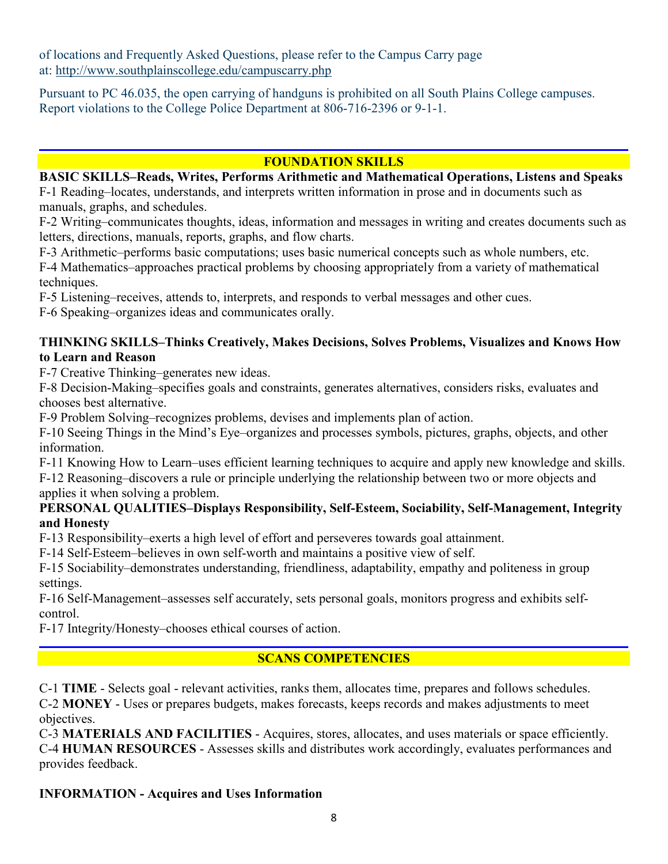of locations and Frequently Asked Questions, please refer to the Campus Carry page at: <http://www.southplainscollege.edu/campuscarry.php>

Pursuant to PC 46.035, the open carrying of handguns is prohibited on all South Plains College campuses. Report violations to the College Police Department at 806-716-2396 or 9-1-1.

# **FOUNDATION SKILLS**

#### **BASIC SKILLS–Reads, Writes, Performs Arithmetic and Mathematical Operations, Listens and Speaks**

F-1 Reading–locates, understands, and interprets written information in prose and in documents such as manuals, graphs, and schedules.

F-2 Writing–communicates thoughts, ideas, information and messages in writing and creates documents such as letters, directions, manuals, reports, graphs, and flow charts.

F-3 Arithmetic–performs basic computations; uses basic numerical concepts such as whole numbers, etc.

F-4 Mathematics–approaches practical problems by choosing appropriately from a variety of mathematical techniques.

F-5 Listening–receives, attends to, interprets, and responds to verbal messages and other cues.

F-6 Speaking–organizes ideas and communicates orally.

### **THINKING SKILLS–Thinks Creatively, Makes Decisions, Solves Problems, Visualizes and Knows How to Learn and Reason**

F-7 Creative Thinking–generates new ideas.

F-8 Decision-Making–specifies goals and constraints, generates alternatives, considers risks, evaluates and chooses best alternative.

F-9 Problem Solving–recognizes problems, devises and implements plan of action.

F-10 Seeing Things in the Mind's Eye–organizes and processes symbols, pictures, graphs, objects, and other information.

F-11 Knowing How to Learn–uses efficient learning techniques to acquire and apply new knowledge and skills. F-12 Reasoning–discovers a rule or principle underlying the relationship between two or more objects and applies it when solving a problem.

## **PERSONAL QUALITIES–Displays Responsibility, Self-Esteem, Sociability, Self-Management, Integrity and Honesty**

F-13 Responsibility–exerts a high level of effort and perseveres towards goal attainment.

F-14 Self-Esteem–believes in own self-worth and maintains a positive view of self.

F-15 Sociability–demonstrates understanding, friendliness, adaptability, empathy and politeness in group settings.

F-16 Self-Management–assesses self accurately, sets personal goals, monitors progress and exhibits selfcontrol.

F-17 Integrity/Honesty–chooses ethical courses of action.

# **SCANS COMPETENCIES**

C-1 **TIME** - Selects goal - relevant activities, ranks them, allocates time, prepares and follows schedules. C-2 **MONEY** - Uses or prepares budgets, makes forecasts, keeps records and makes adjustments to meet objectives.

C-3 **MATERIALS AND FACILITIES** - Acquires, stores, allocates, and uses materials or space efficiently. C-4 **HUMAN RESOURCES** - Assesses skills and distributes work accordingly, evaluates performances and provides feedback.

## **INFORMATION - Acquires and Uses Information**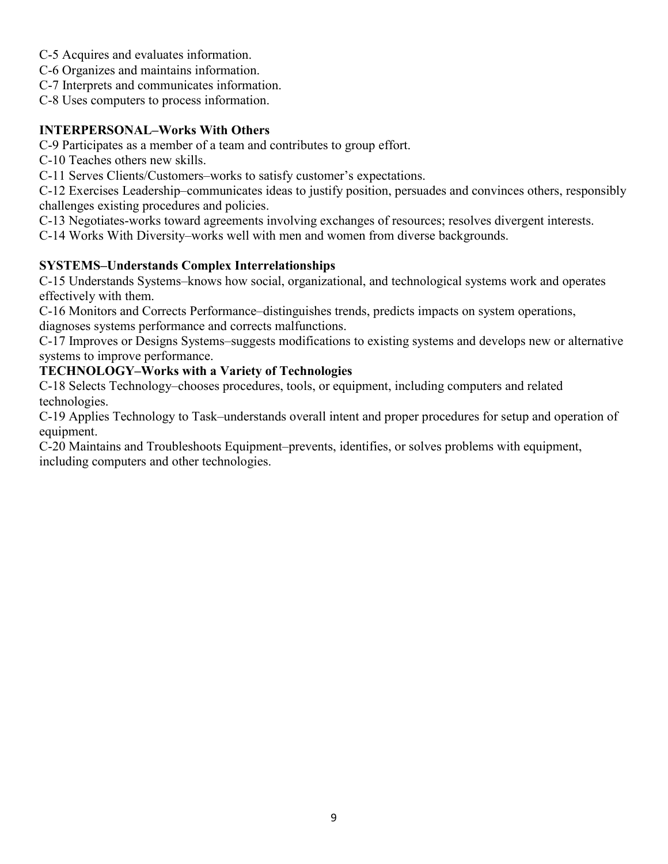- C-5 Acquires and evaluates information.
- C-6 Organizes and maintains information.
- C-7 Interprets and communicates information.
- C-8 Uses computers to process information.

# **INTERPERSONAL–Works With Others**

C-9 Participates as a member of a team and contributes to group effort.

C-10 Teaches others new skills.

C-11 Serves Clients/Customers–works to satisfy customer's expectations.

C-12 Exercises Leadership–communicates ideas to justify position, persuades and convinces others, responsibly challenges existing procedures and policies.

C-13 Negotiates-works toward agreements involving exchanges of resources; resolves divergent interests.

C-14 Works With Diversity–works well with men and women from diverse backgrounds.

# **SYSTEMS–Understands Complex Interrelationships**

C-15 Understands Systems–knows how social, organizational, and technological systems work and operates effectively with them.

C-16 Monitors and Corrects Performance–distinguishes trends, predicts impacts on system operations, diagnoses systems performance and corrects malfunctions.

C-17 Improves or Designs Systems–suggests modifications to existing systems and develops new or alternative systems to improve performance.

# **TECHNOLOGY–Works with a Variety of Technologies**

C-18 Selects Technology–chooses procedures, tools, or equipment, including computers and related technologies.

C-19 Applies Technology to Task–understands overall intent and proper procedures for setup and operation of equipment.

C-20 Maintains and Troubleshoots Equipment–prevents, identifies, or solves problems with equipment, including computers and other technologies.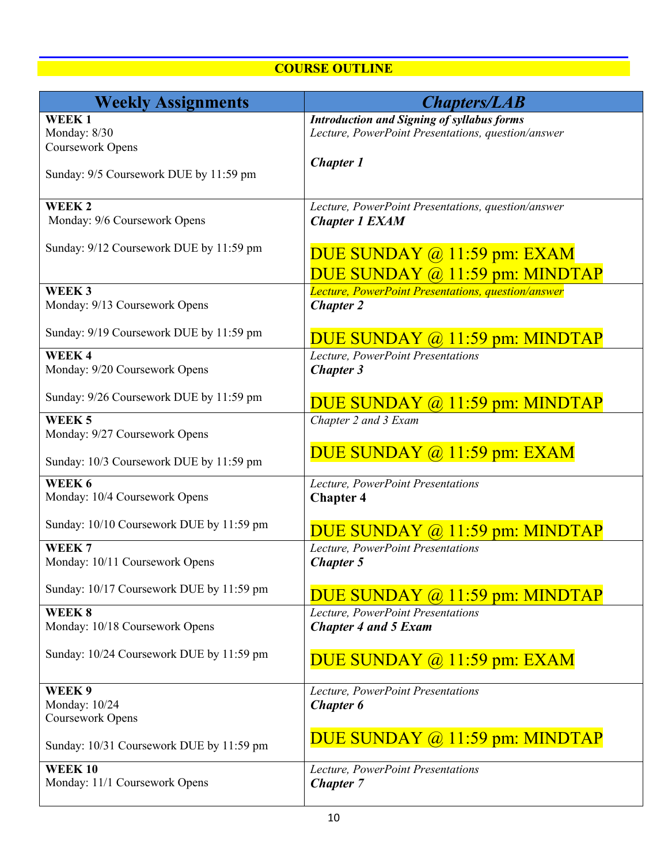# **COURSE OUTLINE**

| <b>Weekly Assignments</b>                           | <b>Chapters/LAB</b>                                                                                     |
|-----------------------------------------------------|---------------------------------------------------------------------------------------------------------|
| WEEK1<br>Monday: 8/30<br>Coursework Opens           | <b>Introduction and Signing of syllabus forms</b><br>Lecture, PowerPoint Presentations, question/answer |
| Sunday: 9/5 Coursework DUE by 11:59 pm              | <b>Chapter 1</b>                                                                                        |
| WEEK <sub>2</sub><br>Monday: 9/6 Coursework Opens   | Lecture, PowerPoint Presentations, question/answer<br><b>Chapter 1 EXAM</b>                             |
| Sunday: 9/12 Coursework DUE by 11:59 pm             | DUE SUNDAY @ 11:59 pm: EXAM<br>DUE SUNDAY @ 11:59 pm: MINDTAP                                           |
| WEEK <sub>3</sub><br>Monday: 9/13 Coursework Opens  | Lecture, PowerPoint Presentations, question/answer<br><b>Chapter 2</b>                                  |
| Sunday: 9/19 Coursework DUE by 11:59 pm             | DUE SUNDAY @ 11:59 pm: MINDTAP                                                                          |
| WEEK4<br>Monday: 9/20 Coursework Opens              | Lecture, PowerPoint Presentations<br><b>Chapter 3</b>                                                   |
| Sunday: 9/26 Coursework DUE by 11:59 pm             | DUE SUNDAY @ 11:59 pm: MINDTAP                                                                          |
| WEEK <sub>5</sub><br>Monday: 9/27 Coursework Opens  | Chapter 2 and 3 Exam                                                                                    |
| Sunday: 10/3 Coursework DUE by 11:59 pm             | DUE SUNDAY @ 11:59 pm: EXAM                                                                             |
| WEEK 6<br>Monday: 10/4 Coursework Opens             | Lecture, PowerPoint Presentations<br><b>Chapter 4</b>                                                   |
| Sunday: 10/10 Coursework DUE by 11:59 pm            | DUE SUNDAY @ 11:59 pm: MINDTAP                                                                          |
| WEEK <sub>7</sub><br>Monday: 10/11 Coursework Opens | Lecture, PowerPoint Presentations<br><b>Chapter 5</b>                                                   |
| Sunday: 10/17 Coursework DUE by 11:59 pm            | DUE SUNDAY @ 11:59 pm: MINDTAP                                                                          |
| WEEK 8<br>Monday: 10/18 Coursework Opens            | Lecture, PowerPoint Presentations<br><b>Chapter 4 and 5 Exam</b>                                        |
| Sunday: 10/24 Coursework DUE by 11:59 pm            | DUE SUNDAY @ 11:59 pm: EXAM                                                                             |
| WEEK 9<br>Monday: 10/24<br>Coursework Opens         | Lecture, PowerPoint Presentations<br>Chapter 6                                                          |
| Sunday: 10/31 Coursework DUE by 11:59 pm            | DUE SUNDAY @ 11:59 pm: MINDTAP                                                                          |
| <b>WEEK10</b><br>Monday: 11/1 Coursework Opens      | Lecture, PowerPoint Presentations<br><b>Chapter 7</b>                                                   |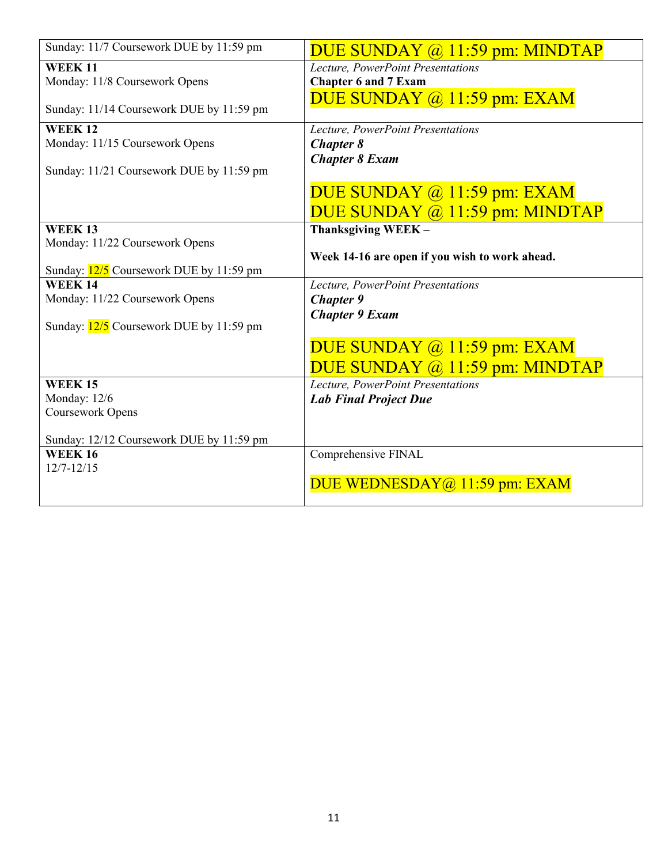| Sunday: 11/7 Coursework DUE by 11:59 pm   | DUE SUNDAY $\omega$ 11:59 pm: MINDTAP          |
|-------------------------------------------|------------------------------------------------|
| <b>WEEK 11</b>                            | Lecture, PowerPoint Presentations              |
| Monday: 11/8 Coursework Opens             | <b>Chapter 6 and 7 Exam</b>                    |
|                                           | DUE SUNDAY $(a)$ 11:59 pm: EXAM                |
| Sunday: 11/14 Coursework DUE by 11:59 pm  |                                                |
| <b>WEEK12</b>                             | Lecture, PowerPoint Presentations              |
| Monday: 11/15 Coursework Opens            | <b>Chapter 8</b>                               |
|                                           | <b>Chapter 8 Exam</b>                          |
| Sunday: 11/21 Coursework DUE by 11:59 pm  |                                                |
|                                           | DUE SUNDAY @ 11:59 pm: EXAM                    |
|                                           | DUE SUNDAY @ 11:59 pm: MINDTAP                 |
| <b>WEEK13</b>                             | Thanksgiving WEEK-                             |
| Monday: 11/22 Coursework Opens            |                                                |
|                                           | Week 14-16 are open if you wish to work ahead. |
| Sunday: 12/5 Coursework DUE by 11:59 pm   |                                                |
| <b>WEEK14</b>                             | Lecture, PowerPoint Presentations              |
| Monday: 11/22 Coursework Opens            | <b>Chapter 9</b>                               |
|                                           | <b>Chapter 9 Exam</b>                          |
| Sunday: $12/5$ Coursework DUE by 11:59 pm |                                                |
|                                           | DUE SUNDAY @ 11:59 pm: EXAM                    |
|                                           | DUE SUNDAY @ 11:59 pm: MINDTAP                 |
| <b>WEEK15</b>                             | Lecture, PowerPoint Presentations              |
| Monday: 12/6                              | <b>Lab Final Project Due</b>                   |
| Coursework Opens                          |                                                |
|                                           |                                                |
| Sunday: 12/12 Coursework DUE by 11:59 pm  |                                                |
| <b>WEEK16</b>                             | Comprehensive FINAL                            |
| $12/7 - 12/15$                            |                                                |
|                                           | DUE WEDNESDAY@ 11:59 pm: EXAM                  |
|                                           |                                                |